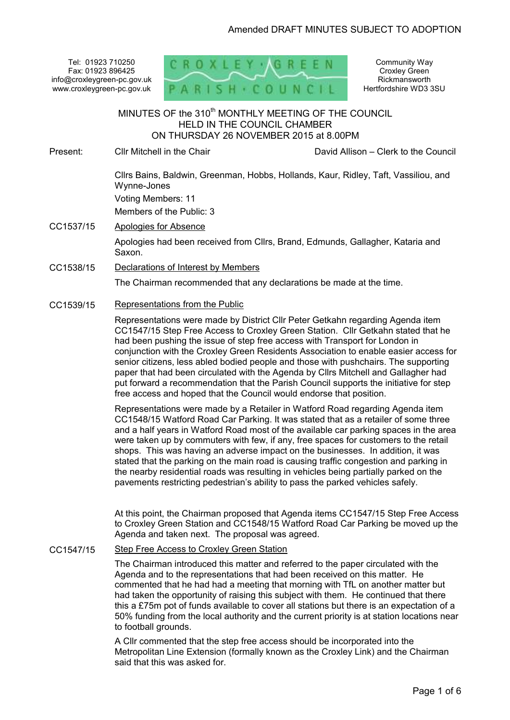Tel: 01923 710250 Fax: 01923 896425 info@croxleygreen-pc.gov.uk www.croxleygreen-pc.gov.uk



Community Way Croxley Green Rickmansworth Hertfordshire WD3 3SU

MINUTES OF the 310<sup>th</sup> MONTHLY MEETING OF THE COUNCIL HELD IN THE COUNCIL CHAMBER ON THURSDAY 26 NOVEMBER 2015 at 8.00PM Ī

Present: Cllr Mitchell in the Chair David Allison – Clerk to the Council

Cllrs Bains, Baldwin, Greenman, Hobbs, Hollands, Kaur, Ridley, Taft, Vassiliou, and Wynne-Jones

Voting Members: 11

Members of the Public: 3

## CC1537/15 Apologies for Absence

Apologies had been received from Cllrs, Brand, Edmunds, Gallagher, Kataria and Saxon.

## CC1538/15 Declarations of Interest by Members

The Chairman recommended that any declarations be made at the time.

## CC1539/15 Representations from the Public

Representations were made by District Cllr Peter Getkahn regarding Agenda item CC1547/15 Step Free Access to Croxley Green Station. Cllr Getkahn stated that he had been pushing the issue of step free access with Transport for London in conjunction with the Croxley Green Residents Association to enable easier access for senior citizens, less abled bodied people and those with pushchairs. The supporting paper that had been circulated with the Agenda by Cllrs Mitchell and Gallagher had put forward a recommendation that the Parish Council supports the initiative for step free access and hoped that the Council would endorse that position.

Representations were made by a Retailer in Watford Road regarding Agenda item CC1548/15 Watford Road Car Parking. It was stated that as a retailer of some three and a half years in Watford Road most of the available car parking spaces in the area were taken up by commuters with few, if any, free spaces for customers to the retail shops. This was having an adverse impact on the businesses. In addition, it was stated that the parking on the main road is causing traffic congestion and parking in the nearby residential roads was resulting in vehicles being partially parked on the pavements restricting pedestrian's ability to pass the parked vehicles safely.

At this point, the Chairman proposed that Agenda items CC1547/15 Step Free Access to Croxley Green Station and CC1548/15 Watford Road Car Parking be moved up the Agenda and taken next. The proposal was agreed.

## CC1547/15 Step Free Access to Croxley Green Station

The Chairman introduced this matter and referred to the paper circulated with the Agenda and to the representations that had been received on this matter. He commented that he had had a meeting that morning with TfL on another matter but had taken the opportunity of raising this subject with them. He continued that there this a £75m pot of funds available to cover all stations but there is an expectation of a 50% funding from the local authority and the current priority is at station locations near to football grounds.

A Cllr commented that the step free access should be incorporated into the Metropolitan Line Extension (formally known as the Croxley Link) and the Chairman said that this was asked for.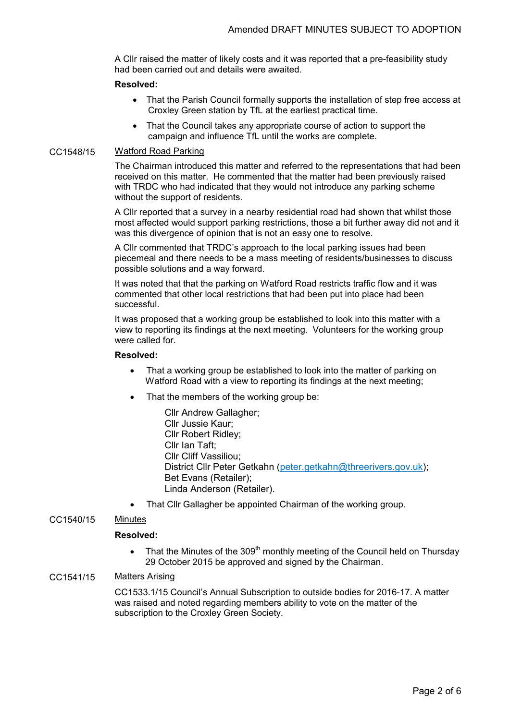A Cllr raised the matter of likely costs and it was reported that a pre-feasibility study had been carried out and details were awaited.

### **Resolved:**

- That the Parish Council formally supports the installation of step free access at Croxley Green station by TfL at the earliest practical time.
- That the Council takes any appropriate course of action to support the campaign and influence TfL until the works are complete.

### CC1548/15 Watford Road Parking

The Chairman introduced this matter and referred to the representations that had been received on this matter. He commented that the matter had been previously raised with TRDC who had indicated that they would not introduce any parking scheme without the support of residents.

A Cllr reported that a survey in a nearby residential road had shown that whilst those most affected would support parking restrictions, those a bit further away did not and it was this divergence of opinion that is not an easy one to resolve.

A Cllr commented that TRDC's approach to the local parking issues had been piecemeal and there needs to be a mass meeting of residents/businesses to discuss possible solutions and a way forward.

It was noted that that the parking on Watford Road restricts traffic flow and it was commented that other local restrictions that had been put into place had been successful.

It was proposed that a working group be established to look into this matter with a view to reporting its findings at the next meeting. Volunteers for the working group were called for.

#### **Resolved:**

- That a working group be established to look into the matter of parking on Watford Road with a view to reporting its findings at the next meeting;
- That the members of the working group be:
	- Cllr Andrew Gallagher; Cllr Jussie Kaur; Cllr Robert Ridley; Cllr Ian Taft; Cllr Cliff Vassiliou; District Cllr Peter Getkahn (peter.getkahn@threerivers.gov.uk); Bet Evans (Retailer); Linda Anderson (Retailer).
- That Cllr Gallagher be appointed Chairman of the working group.

## CC1540/15 Minutes

#### **Resolved:**

• That the Minutes of the 309<sup>th</sup> monthly meeting of the Council held on Thursday 29 October 2015 be approved and signed by the Chairman.

## CC1541/15 Matters Arising

CC1533.1/15 Council's Annual Subscription to outside bodies for 2016-17. A matter was raised and noted regarding members ability to vote on the matter of the subscription to the Croxley Green Society.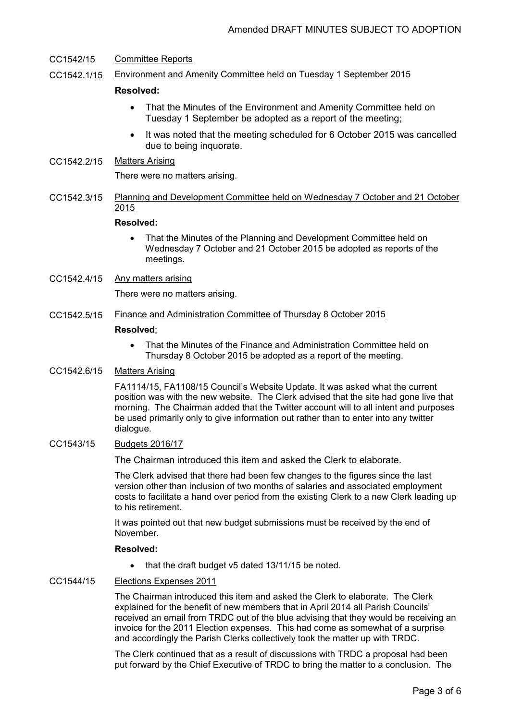## CC1542/15 Committee Reports

CC1542.1/15 Environment and Amenity Committee held on Tuesday 1 September 2015

## **Resolved:**

- That the Minutes of the Environment and Amenity Committee held on Tuesday 1 September be adopted as a report of the meeting;
- It was noted that the meeting scheduled for 6 October 2015 was cancelled due to being inquorate.
- CC1542.2/15 Matters Arising

There were no matters arising.

CC1542.3/15 Planning and Development Committee held on Wednesday 7 October and 21 October 2015

## **Resolved:**

- That the Minutes of the Planning and Development Committee held on Wednesday 7 October and 21 October 2015 be adopted as reports of the meetings.
- CC1542.4/15 Any matters arising

There were no matters arising.

CC1542.5/15 Finance and Administration Committee of Thursday 8 October 2015

#### **Resolved**:

• That the Minutes of the Finance and Administration Committee held on Thursday 8 October 2015 be adopted as a report of the meeting.

# CC1542.6/15 Matters Arising

FA1114/15, FA1108/15 Council's Website Update. It was asked what the current position was with the new website. The Clerk advised that the site had gone live that morning. The Chairman added that the Twitter account will to all intent and purposes be used primarily only to give information out rather than to enter into any twitter dialogue.

CC1543/15 Budgets 2016/17

The Chairman introduced this item and asked the Clerk to elaborate.

The Clerk advised that there had been few changes to the figures since the last version other than inclusion of two months of salaries and associated employment costs to facilitate a hand over period from the existing Clerk to a new Clerk leading up to his retirement.

It was pointed out that new budget submissions must be received by the end of November.

## **Resolved:**

• that the draft budget v5 dated 13/11/15 be noted.

### CC1544/15 Elections Expenses 2011

The Chairman introduced this item and asked the Clerk to elaborate. The Clerk explained for the benefit of new members that in April 2014 all Parish Councils' received an email from TRDC out of the blue advising that they would be receiving an invoice for the 2011 Election expenses. This had come as somewhat of a surprise and accordingly the Parish Clerks collectively took the matter up with TRDC.

The Clerk continued that as a result of discussions with TRDC a proposal had been put forward by the Chief Executive of TRDC to bring the matter to a conclusion. The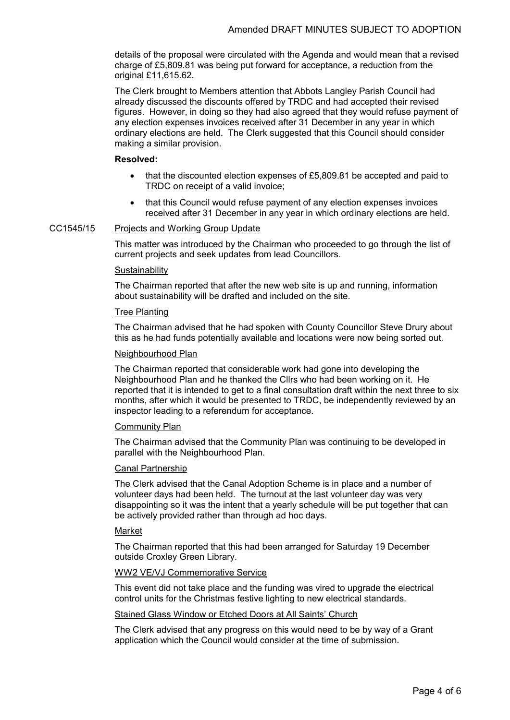details of the proposal were circulated with the Agenda and would mean that a revised charge of £5,809.81 was being put forward for acceptance, a reduction from the original £11,615.62.

The Clerk brought to Members attention that Abbots Langley Parish Council had already discussed the discounts offered by TRDC and had accepted their revised figures. However, in doing so they had also agreed that they would refuse payment of any election expenses invoices received after 31 December in any year in which ordinary elections are held. The Clerk suggested that this Council should consider making a similar provision.

## **Resolved:**

- that the discounted election expenses of £5,809.81 be accepted and paid to TRDC on receipt of a valid invoice;
- that this Council would refuse payment of any election expenses invoices received after 31 December in any year in which ordinary elections are held.

## CC1545/15 Projects and Working Group Update

This matter was introduced by the Chairman who proceeded to go through the list of current projects and seek updates from lead Councillors.

#### **Sustainability**

The Chairman reported that after the new web site is up and running, information about sustainability will be drafted and included on the site.

#### Tree Planting

The Chairman advised that he had spoken with County Councillor Steve Drury about this as he had funds potentially available and locations were now being sorted out.

#### Neighbourhood Plan

The Chairman reported that considerable work had gone into developing the Neighbourhood Plan and he thanked the Cllrs who had been working on it. He reported that it is intended to get to a final consultation draft within the next three to six months, after which it would be presented to TRDC, be independently reviewed by an inspector leading to a referendum for acceptance.

#### Community Plan

The Chairman advised that the Community Plan was continuing to be developed in parallel with the Neighbourhood Plan.

#### Canal Partnership

The Clerk advised that the Canal Adoption Scheme is in place and a number of volunteer days had been held. The turnout at the last volunteer day was very disappointing so it was the intent that a yearly schedule will be put together that can be actively provided rather than through ad hoc days.

#### Market

The Chairman reported that this had been arranged for Saturday 19 December outside Croxley Green Library.

#### WW2 VE/VJ Commemorative Service

This event did not take place and the funding was vired to upgrade the electrical control units for the Christmas festive lighting to new electrical standards.

### Stained Glass Window or Etched Doors at All Saints' Church

The Clerk advised that any progress on this would need to be by way of a Grant application which the Council would consider at the time of submission.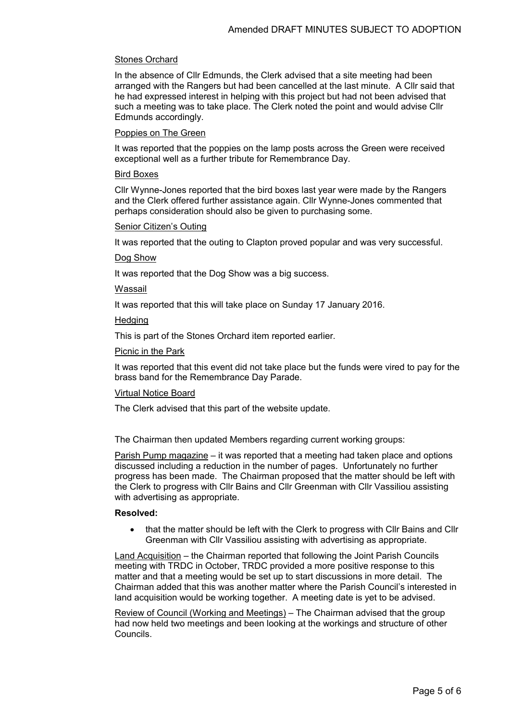## Stones Orchard

In the absence of Cllr Edmunds, the Clerk advised that a site meeting had been arranged with the Rangers but had been cancelled at the last minute. A Cllr said that he had expressed interest in helping with this project but had not been advised that such a meeting was to take place. The Clerk noted the point and would advise Cllr Edmunds accordingly.

## Poppies on The Green

It was reported that the poppies on the lamp posts across the Green were received exceptional well as a further tribute for Remembrance Day.

### Bird Boxes

Cllr Wynne-Jones reported that the bird boxes last year were made by the Rangers and the Clerk offered further assistance again. Cllr Wynne-Jones commented that perhaps consideration should also be given to purchasing some.

#### Senior Citizen's Outing

It was reported that the outing to Clapton proved popular and was very successful.

Dog Show

It was reported that the Dog Show was a big success.

Wassail

It was reported that this will take place on Sunday 17 January 2016.

## **Hedging**

This is part of the Stones Orchard item reported earlier.

## Picnic in the Park

It was reported that this event did not take place but the funds were vired to pay for the brass band for the Remembrance Day Parade.

#### Virtual Notice Board

The Clerk advised that this part of the website update.

The Chairman then updated Members regarding current working groups:

Parish Pump magazine – it was reported that a meeting had taken place and options discussed including a reduction in the number of pages. Unfortunately no further progress has been made. The Chairman proposed that the matter should be left with the Clerk to progress with Cllr Bains and Cllr Greenman with Cllr Vassiliou assisting with advertising as appropriate.

## **Resolved:**

• that the matter should be left with the Clerk to progress with Cllr Bains and Cllr Greenman with Cllr Vassiliou assisting with advertising as appropriate.

Land Acquisition – the Chairman reported that following the Joint Parish Councils meeting with TRDC in October, TRDC provided a more positive response to this matter and that a meeting would be set up to start discussions in more detail. The Chairman added that this was another matter where the Parish Council's interested in land acquisition would be working together. A meeting date is yet to be advised.

Review of Council (Working and Meetings) – The Chairman advised that the group had now held two meetings and been looking at the workings and structure of other Councils.